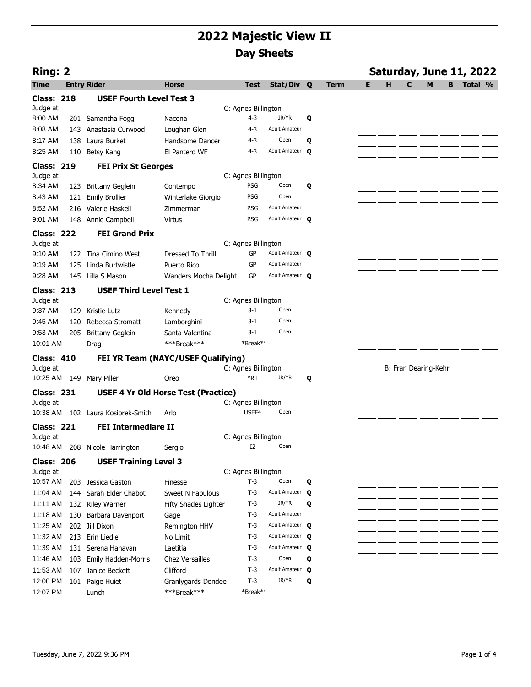| <b>Ring: 2</b>                |     |                                            |                        |       |                                               |   |             |    |   |                      |   |   | Saturday, June 11, 2022 |  |
|-------------------------------|-----|--------------------------------------------|------------------------|-------|-----------------------------------------------|---|-------------|----|---|----------------------|---|---|-------------------------|--|
| Time                          |     | <b>Entry Rider</b>                         | <b>Horse</b>           |       | Stat/Div Q<br><b>Test</b>                     |   | <b>Term</b> | E. | H | $\mathbf c$          | M | B | Total %                 |  |
| <b>Class: 218</b>             |     | <b>USEF Fourth Level Test 3</b>            |                        |       |                                               |   |             |    |   |                      |   |   |                         |  |
| Judge at                      |     |                                            |                        |       | C: Agnes Billington                           |   |             |    |   |                      |   |   |                         |  |
| 8:00 AM                       |     | 201 Samantha Fogg                          | Nacona                 |       | 4-3<br>JR/YR                                  | Q |             |    |   |                      |   |   |                         |  |
| 8:08 AM                       |     | 143 Anastasia Curwood                      | Loughan Glen           |       | 4-3<br><b>Adult Amateur</b>                   |   |             |    |   |                      |   |   |                         |  |
| 8:17 AM                       |     | 138 Laura Burket                           | Handsome Dancer        |       | Open<br>4-3                                   | Q |             |    |   |                      |   |   |                         |  |
| 8:25 AM                       |     | 110 Betsy Kang                             | El Pantero WF          |       | $4 - 3$<br>Adult Amateur Q                    |   |             |    |   |                      |   |   |                         |  |
| <b>Class: 219</b>             |     | <b>FEI Prix St Georges</b>                 |                        |       |                                               |   |             |    |   |                      |   |   |                         |  |
| Judge at                      |     |                                            |                        |       | C: Agnes Billington                           |   |             |    |   |                      |   |   |                         |  |
| 8:34 AM                       | 123 | <b>Brittany Geglein</b>                    | Contempo               |       | PSG<br>Open                                   | Q |             |    |   |                      |   |   |                         |  |
| 8:43 AM                       | 121 | <b>Emily Brollier</b>                      | Winterlake Giorgio     |       | <b>PSG</b><br>Open                            |   |             |    |   |                      |   |   |                         |  |
| 8:52 AM                       |     | 216 Valerie Haskell                        | Zimmerman              |       | PSG<br>Adult Amateur                          |   |             |    |   |                      |   |   |                         |  |
| 9:01 AM                       |     | 148 Annie Campbell                         | Virtus                 |       | Adult Amateur <b>Q</b><br>PSG                 |   |             |    |   |                      |   |   |                         |  |
| <b>Class: 222</b>             |     | <b>FEI Grand Prix</b>                      |                        |       |                                               |   |             |    |   |                      |   |   |                         |  |
| Judge at                      |     |                                            |                        |       | C: Agnes Billington                           |   |             |    |   |                      |   |   |                         |  |
| 9:10 AM                       |     | 122 Tina Cimino West                       | Dressed To Thrill      |       | GP<br>Adult Amateur Q                         |   |             |    |   |                      |   |   |                         |  |
| 9:19 AM                       |     | 125 Linda Burtwistle                       | Puerto Rico            |       | <b>Adult Amateur</b><br>GP                    |   |             |    |   |                      |   |   |                         |  |
| 9:28 AM                       | 145 | Lilla S Mason                              | Wanders Mocha Delight  |       | GP<br>Adult Amateur <b>Q</b>                  |   |             |    |   |                      |   |   |                         |  |
| <b>Class: 213</b>             |     | <b>USEF Third Level Test 1</b>             |                        |       |                                               |   |             |    |   |                      |   |   |                         |  |
| Judge at                      |     |                                            |                        |       | C: Agnes Billington                           |   |             |    |   |                      |   |   |                         |  |
| 9:37 AM                       | 129 | Kristie Lutz                               | Kennedy                |       | $3-1$<br>Open                                 |   |             |    |   |                      |   |   |                         |  |
| 9:45 AM                       | 120 | Rebecca Stromatt                           | Lamborghini            |       | Open<br>3-1                                   |   |             |    |   |                      |   |   |                         |  |
| 9:53 AM                       | 205 | <b>Brittany Geglein</b>                    | Santa Valentina        |       | Open<br>$3-1$                                 |   |             |    |   |                      |   |   |                         |  |
| 10:01 AM                      |     | Drag                                       | ***Break***            |       | **Break**                                     |   |             |    |   |                      |   |   |                         |  |
| <b>Class: 410</b>             |     | FEI YR Team (NAYC/USEF Qualifying)         |                        |       |                                               |   |             |    |   |                      |   |   |                         |  |
| Judge at                      |     |                                            |                        |       | C: Agnes Billington<br><b>YRT</b><br>JR/YR    |   |             |    |   | B: Fran Dearing-Kehr |   |   |                         |  |
|                               |     | 10:25 AM 149 Mary Piller                   | Oreo                   |       |                                               | Q |             |    |   |                      |   |   |                         |  |
| <b>Class: 231</b>             |     | <b>USEF 4 Yr Old Horse Test (Practice)</b> |                        |       |                                               |   |             |    |   |                      |   |   |                         |  |
| Judge at<br>10:38 AM          |     | 102 Laura Kosiorek-Smith                   | Arlo                   |       | C: Agnes Billington<br>USEF4<br>Open          |   |             |    |   |                      |   |   |                         |  |
|                               |     |                                            |                        |       |                                               |   |             |    |   |                      |   |   |                         |  |
| <b>Class: 221</b>             |     | <b>FEI Intermediare II</b>                 |                        |       |                                               |   |             |    |   |                      |   |   |                         |  |
| Judge at                      |     | 10:48 AM 208 Nicole Harrington             | Sergio                 |       | C: Agnes Billington<br>I <sub>2</sub><br>Open |   |             |    |   |                      |   |   |                         |  |
|                               |     |                                            |                        |       |                                               |   |             |    |   |                      |   |   |                         |  |
| <b>Class: 206</b><br>Judge at |     | <b>USEF Training Level 3</b>               |                        |       | C: Agnes Billington                           |   |             |    |   |                      |   |   |                         |  |
| 10:57 AM                      |     | 203 Jessica Gaston                         | Finesse                |       | $T-3$<br>Open                                 | Q |             |    |   |                      |   |   |                         |  |
| 11:04 AM                      |     | 144 Sarah Elder Chabot                     | Sweet N Fabulous       | $T-3$ | <b>Adult Amateur</b>                          | Q |             |    |   |                      |   |   |                         |  |
| 11:11 AM                      |     | 132 Riley Warner                           | Fifty Shades Lighter   |       | JR/YR<br>$T-3$                                | Q |             |    |   |                      |   |   |                         |  |
| 11:18 AM                      |     | 130 Barbara Davenport                      | Gage                   |       | <b>Adult Amateur</b><br>$T-3$                 |   |             |    |   |                      |   |   |                         |  |
| 11:25 AM                      |     | 202 Jill Dixon                             | Remington HHV          |       | $T-3$<br>Adult Amateur <b>Q</b>               |   |             |    |   |                      |   |   |                         |  |
| 11:32 AM                      |     | 213 Erin Liedle                            | No Limit               |       | Adult Amateur <b>Q</b><br>$T-3$               |   |             |    |   |                      |   |   |                         |  |
| 11:39 AM                      |     | 131 Serena Hanavan                         | Laetitia               |       | Adult Amateur <b>Q</b><br>$T-3$               |   |             |    |   |                      |   |   |                         |  |
| 11:46 AM                      |     | 103 Emily Hadden-Morris                    | <b>Chez Versailles</b> |       | Open<br>T-3                                   | Q |             |    |   |                      |   |   |                         |  |
| 11:53 AM                      |     | 107 Janice Beckett                         | Clifford               |       | $T-3$<br>Adult Amateur <b>Q</b>               |   |             |    |   |                      |   |   |                         |  |
| 12:00 PM                      |     | 101 Paige Huiet                            | Granlygards Dondee     |       | JR/YR<br>$T-3$                                | Q |             |    |   |                      |   |   |                         |  |
| 12:07 PM                      |     | Lunch                                      | ***Break***            |       | *Break* <sup>*</sup>                          |   |             |    |   |                      |   |   |                         |  |
|                               |     |                                            |                        |       |                                               |   |             |    |   |                      |   |   |                         |  |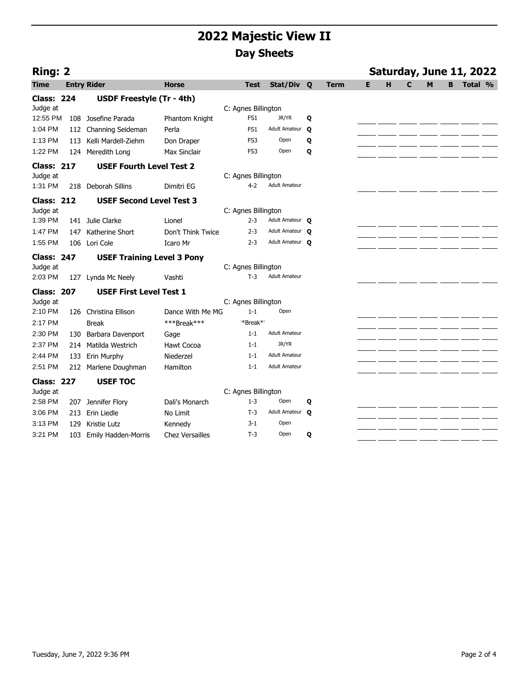|                   | Ring: 2 |                                   |                        |                      |                      |   |             |   | Saturday, June 11, 2022 |   |   |   |         |  |  |  |  |
|-------------------|---------|-----------------------------------|------------------------|----------------------|----------------------|---|-------------|---|-------------------------|---|---|---|---------|--|--|--|--|
| <b>Time</b>       |         | <b>Entry Rider</b>                | <b>Horse</b>           | <b>Test</b>          | Stat/Div Q           |   | <b>Term</b> | Е | H                       | C | M | B | Total % |  |  |  |  |
| <b>Class: 224</b> |         | <b>USDF Freestyle (Tr - 4th)</b>  |                        |                      |                      |   |             |   |                         |   |   |   |         |  |  |  |  |
| Judge at          |         |                                   |                        | C: Agnes Billington  |                      |   |             |   |                         |   |   |   |         |  |  |  |  |
| 12:55 PM          |         | 108 Josefine Parada               | Phantom Knight         | FS1                  | JR/YR                | Q |             |   |                         |   |   |   |         |  |  |  |  |
| 1:04 PM           | 112     | Channing Seideman                 | Perla                  | FS1                  | Adult Amateur Q      |   |             |   |                         |   |   |   |         |  |  |  |  |
| 1:13 PM           | 113     | Kelli Mardell-Ziehm               | Don Draper             | FS3                  | Open                 | Q |             |   |                         |   |   |   |         |  |  |  |  |
| 1:22 PM           |         | 124 Meredith Long                 | Max Sinclair           | FS3                  | Open                 | Q |             |   |                         |   |   |   |         |  |  |  |  |
| <b>Class: 217</b> |         | <b>USEF Fourth Level Test 2</b>   |                        |                      |                      |   |             |   |                         |   |   |   |         |  |  |  |  |
| Judge at          |         |                                   |                        | C: Agnes Billington  |                      |   |             |   |                         |   |   |   |         |  |  |  |  |
| 1:31 PM           | 218     | Deborah Sillins                   | Dimitri EG             | $4 - 2$              | <b>Adult Amateur</b> |   |             |   |                         |   |   |   |         |  |  |  |  |
| <b>Class: 212</b> |         | <b>USEF Second Level Test 3</b>   |                        |                      |                      |   |             |   |                         |   |   |   |         |  |  |  |  |
| Judge at          |         |                                   |                        | C: Agnes Billington  |                      |   |             |   |                         |   |   |   |         |  |  |  |  |
| 1:39 PM           |         | 141 Julie Clarke                  | Lionel                 | $2 - 3$              | Adult Amateur Q      |   |             |   |                         |   |   |   |         |  |  |  |  |
| 1:47 PM           | 147     | Katherine Short                   | Don't Think Twice      | $2 - 3$              | Adult Amateur O      |   |             |   |                         |   |   |   |         |  |  |  |  |
| 1:55 PM           | 106     | Lori Cole                         | Icaro Mr               | $2 - 3$              | Adult Amateur O      |   |             |   |                         |   |   |   |         |  |  |  |  |
| <b>Class: 247</b> |         | <b>USEF Training Level 3 Pony</b> |                        |                      |                      |   |             |   |                         |   |   |   |         |  |  |  |  |
| Judge at          |         |                                   |                        | C: Agnes Billington  |                      |   |             |   |                         |   |   |   |         |  |  |  |  |
| 2:03 PM           | 127     | Lynda Mc Neely                    | Vashti                 | $T-3$                | <b>Adult Amateur</b> |   |             |   |                         |   |   |   |         |  |  |  |  |
| <b>Class: 207</b> |         | <b>USEF First Level Test 1</b>    |                        |                      |                      |   |             |   |                         |   |   |   |         |  |  |  |  |
| Judge at          |         |                                   |                        | C: Agnes Billington  |                      |   |             |   |                         |   |   |   |         |  |  |  |  |
| 2:10 PM           |         | 126 Christina Ellison             | Dance With Me MG       | $1 - 1$              | Open                 |   |             |   |                         |   |   |   |         |  |  |  |  |
| 2:17 PM           |         | <b>Break</b>                      | ***Break***            | *Break* <sup>*</sup> |                      |   |             |   |                         |   |   |   |         |  |  |  |  |
| 2:30 PM           | 130     | Barbara Davenport                 | Gage                   | $1 - 1$              | <b>Adult Amateur</b> |   |             |   |                         |   |   |   |         |  |  |  |  |
| 2:37 PM           | 214     | Matilda Westrich                  | Hawt Cocoa             | $1 - 1$              | JR/YR                |   |             |   |                         |   |   |   |         |  |  |  |  |
| 2:44 PM           | 133     | Erin Murphy                       | Niederzel              | $1 - 1$              | <b>Adult Amateur</b> |   |             |   |                         |   |   |   |         |  |  |  |  |
| 2:51 PM           | 212     | Marlene Doughman                  | Hamilton               | $1 - 1$              | <b>Adult Amateur</b> |   |             |   |                         |   |   |   |         |  |  |  |  |
| <b>Class: 227</b> |         | <b>USEF TOC</b>                   |                        |                      |                      |   |             |   |                         |   |   |   |         |  |  |  |  |
| Judge at          |         |                                   |                        | C: Agnes Billington  |                      |   |             |   |                         |   |   |   |         |  |  |  |  |
| 2:58 PM           | 207     | Jennifer Flory                    | Dali's Monarch         | $1 - 3$              | Open                 | Q |             |   |                         |   |   |   |         |  |  |  |  |
| 3:06 PM           | 213     | Erin Liedle                       | No Limit               | $T-3$                | Adult Amateur O      |   |             |   |                         |   |   |   |         |  |  |  |  |
| 3:13 PM           | 129     | Kristie Lutz                      | Kennedy                | $3-1$                | Open                 |   |             |   |                         |   |   |   |         |  |  |  |  |
| 3:21 PM           | 103     | <b>Emily Hadden-Morris</b>        | <b>Chez Versailles</b> | $T-3$                | Open                 | Q |             |   |                         |   |   |   |         |  |  |  |  |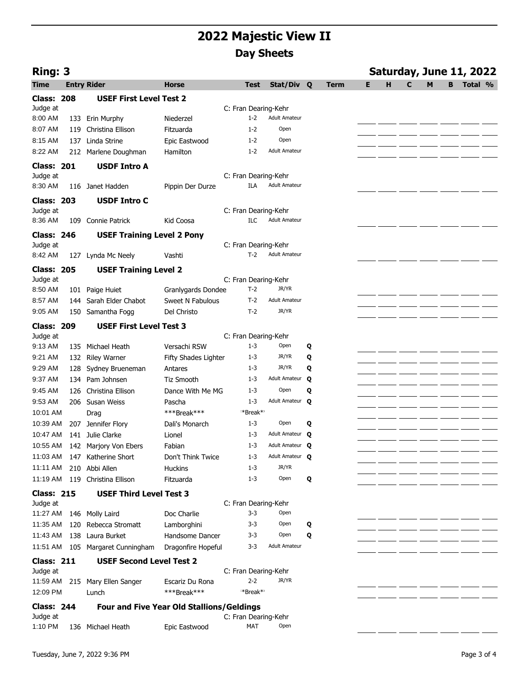| Ring: 3<br>Saturday, June 11, 2022 |     |                                                  |                                     |                      |                      |   |             |   |   |   |   |   |         |  |
|------------------------------------|-----|--------------------------------------------------|-------------------------------------|----------------------|----------------------|---|-------------|---|---|---|---|---|---------|--|
| <b>Time</b>                        |     | <b>Entry Rider</b>                               | <b>Horse</b>                        | <b>Test</b>          | Stat/Div Q           |   | <b>Term</b> | Е | H | C | M | B | Total % |  |
| <b>Class: 208</b>                  |     | <b>USEF First Level Test 2</b>                   |                                     |                      |                      |   |             |   |   |   |   |   |         |  |
| Judge at                           |     |                                                  |                                     | C: Fran Dearing-Kehr |                      |   |             |   |   |   |   |   |         |  |
| 8:00 AM                            | 133 | Erin Murphy                                      | Niederzel                           | $1 - 2$              | <b>Adult Amateur</b> |   |             |   |   |   |   |   |         |  |
| 8:07 AM                            | 119 | Christina Ellison                                | Fitzuarda                           | $1 - 2$              | Open                 |   |             |   |   |   |   |   |         |  |
| 8:15 AM                            | 137 | Linda Strine                                     | Epic Eastwood                       | $1 - 2$              | Open                 |   |             |   |   |   |   |   |         |  |
| 8:22 AM                            | 212 | Marlene Doughman                                 | Hamilton                            | $1 - 2$              | <b>Adult Amateur</b> |   |             |   |   |   |   |   |         |  |
| <b>Class: 201</b>                  |     | <b>USDF Intro A</b>                              |                                     |                      |                      |   |             |   |   |   |   |   |         |  |
| Judge at                           |     |                                                  |                                     | C: Fran Dearing-Kehr |                      |   |             |   |   |   |   |   |         |  |
| 8:30 AM                            | 116 | Janet Hadden                                     | Pippin Der Durze                    | ILA                  | <b>Adult Amateur</b> |   |             |   |   |   |   |   |         |  |
| <b>Class: 203</b>                  |     | <b>USDF Intro C</b>                              |                                     |                      |                      |   |             |   |   |   |   |   |         |  |
| Judge at                           |     |                                                  |                                     | C: Fran Dearing-Kehr |                      |   |             |   |   |   |   |   |         |  |
| 8:36 AM                            | 109 | Connie Patrick                                   | Kid Coosa                           | ILC                  | <b>Adult Amateur</b> |   |             |   |   |   |   |   |         |  |
| <b>Class: 246</b>                  |     | <b>USEF Training Level 2 Pony</b>                |                                     |                      |                      |   |             |   |   |   |   |   |         |  |
| Judge at                           |     |                                                  |                                     | C: Fran Dearing-Kehr |                      |   |             |   |   |   |   |   |         |  |
| 8:42 AM                            | 127 | Lynda Mc Neely                                   | Vashti                              | $T-2$                | <b>Adult Amateur</b> |   |             |   |   |   |   |   |         |  |
| <b>Class: 205</b>                  |     | <b>USEF Training Level 2</b>                     |                                     |                      |                      |   |             |   |   |   |   |   |         |  |
| Judge at                           |     |                                                  |                                     | C: Fran Dearing-Kehr |                      |   |             |   |   |   |   |   |         |  |
| 8:50 AM                            | 101 | Paige Huiet                                      | Granlygards Dondee                  | $T-2$                | JR/YR                |   |             |   |   |   |   |   |         |  |
| 8:57 AM                            | 144 | Sarah Elder Chabot                               | Sweet N Fabulous                    | $T-2$                | <b>Adult Amateur</b> |   |             |   |   |   |   |   |         |  |
| 9:05 AM                            |     | 150 Samantha Fogg                                | Del Christo                         | $T-2$                | JR/YR                |   |             |   |   |   |   |   |         |  |
| <b>Class: 209</b>                  |     | <b>USEF First Level Test 3</b>                   |                                     |                      |                      |   |             |   |   |   |   |   |         |  |
| Judge at                           |     |                                                  |                                     | C: Fran Dearing-Kehr |                      |   |             |   |   |   |   |   |         |  |
| 9:13 AM                            | 135 | Michael Heath                                    | Versachi RSW                        | $1 - 3$              | Open                 | Q |             |   |   |   |   |   |         |  |
| 9:21 AM                            | 132 | <b>Riley Warner</b>                              | Fifty Shades Lighter                | $1 - 3$              | JR/YR                | Q |             |   |   |   |   |   |         |  |
| 9:29 AM                            | 128 | Sydney Brueneman                                 | Antares                             | $1 - 3$              | JR/YR                | Q |             |   |   |   |   |   |         |  |
| 9:37 AM                            | 134 | Pam Johnsen                                      | <b>Tiz Smooth</b>                   | $1 - 3$              | Adult Amateur        | Q |             |   |   |   |   |   |         |  |
| 9:45 AM                            | 126 | Christina Ellison                                | Dance With Me MG                    | $1 - 3$              | Open                 | Q |             |   |   |   |   |   |         |  |
| 9:53 AM                            |     | 206 Susan Weiss                                  | Pascha                              | $1 - 3$              | Adult Amateur Q      |   |             |   |   |   |   |   |         |  |
| 10:01 AM                           |     | Drag                                             | ***Break***                         | *Break*'<br>$1 - 3$  | Open                 |   |             |   |   |   |   |   |         |  |
| 10:39 AM                           | 207 | Jennifer Flory                                   | Dali's Monarch                      |                      | Adult Amateur O      | Q |             |   |   |   |   |   |         |  |
| 10:47 AM<br>10:55 AM               |     | 141 Julie Clarke                                 | Lionel                              | $1 - 3$<br>$1 - 3$   | Adult Amateur Q      |   |             |   |   |   |   |   |         |  |
| 11:03 AM                           |     | 142 Marjory Von Ebers<br>147 Katherine Short     | Fabian                              | $1 - 3$              | Adult Amateur O      |   |             |   |   |   |   |   |         |  |
| 11:11 AM                           |     | 210 Abbi Allen                                   | Don't Think Twice<br><b>Huckins</b> | $1 - 3$              | JR/YR                |   |             |   |   |   |   |   |         |  |
|                                    |     | 11:19 AM 119 Christina Ellison                   | Fitzuarda                           | $1 - 3$              | Open                 | Q |             |   |   |   |   |   |         |  |
|                                    |     |                                                  |                                     |                      |                      |   |             |   |   |   |   |   |         |  |
| <b>Class: 215</b><br>Judge at      |     | <b>USEF Third Level Test 3</b>                   |                                     | C: Fran Dearing-Kehr |                      |   |             |   |   |   |   |   |         |  |
| 11:27 AM                           |     | 146 Molly Laird                                  | Doc Charlie                         | $3 - 3$              | Open                 |   |             |   |   |   |   |   |         |  |
| 11:35 AM                           | 120 | Rebecca Stromatt                                 | Lamborghini                         | 3-3                  | Open                 | Q |             |   |   |   |   |   |         |  |
| 11:43 AM                           |     | 138 Laura Burket                                 | Handsome Dancer                     | 3-3                  | Open                 | Q |             |   |   |   |   |   |         |  |
|                                    |     | 11:51 AM 105 Margaret Cunningham                 | Dragonfire Hopeful                  | 3-3                  | <b>Adult Amateur</b> |   |             |   |   |   |   |   |         |  |
| <b>Class: 211</b>                  |     | <b>USEF Second Level Test 2</b>                  |                                     |                      |                      |   |             |   |   |   |   |   |         |  |
| Judge at                           |     |                                                  |                                     | C: Fran Dearing-Kehr |                      |   |             |   |   |   |   |   |         |  |
| 11:59 AM                           |     | 215 Mary Ellen Sanger                            | Escariz Du Rona                     | $2 - 2$              | JR/YR                |   |             |   |   |   |   |   |         |  |
| 12:09 PM                           |     | Lunch                                            | ***Break***                         | *Break*'             |                      |   |             |   |   |   |   |   |         |  |
| <b>Class: 244</b>                  |     | <b>Four and Five Year Old Stallions/Geldings</b> |                                     |                      |                      |   |             |   |   |   |   |   |         |  |
| Judge at                           |     |                                                  |                                     | C: Fran Dearing-Kehr |                      |   |             |   |   |   |   |   |         |  |
| 1:10 PM                            |     | 136 Michael Heath                                | Epic Eastwood                       | MAT                  | Open                 |   |             |   |   |   |   |   |         |  |
|                                    |     |                                                  |                                     |                      |                      |   |             |   |   |   |   |   |         |  |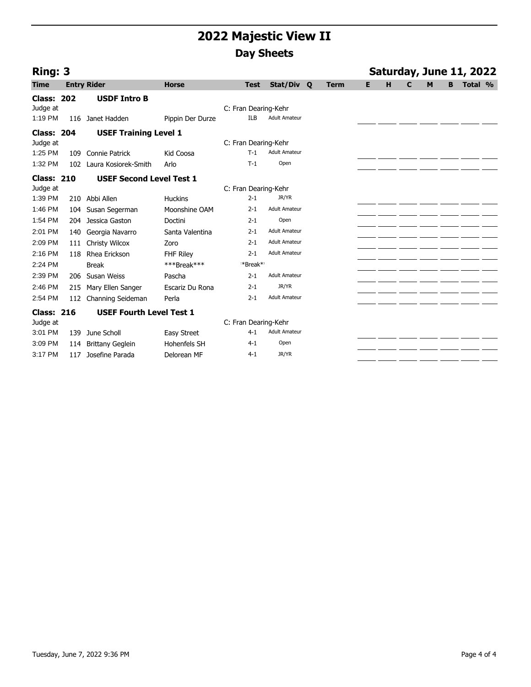| Ring: 3           |                 |                                 |                    |                      |                      |             |   |   |   |   |   | Saturday, June 11, 2022 |  |
|-------------------|-----------------|---------------------------------|--------------------|----------------------|----------------------|-------------|---|---|---|---|---|-------------------------|--|
| <b>Time</b>       |                 | <b>Entry Rider</b>              | <b>Horse</b>       | <b>Test</b>          | Stat/Div Q           | <b>Term</b> | E | н | C | M | B | Total %                 |  |
| <b>Class: 202</b> |                 | <b>USDF Intro B</b>             |                    |                      |                      |             |   |   |   |   |   |                         |  |
| Judge at          |                 |                                 |                    | C: Fran Dearing-Kehr |                      |             |   |   |   |   |   |                         |  |
| 1:19 PM           |                 | 116 Janet Hadden                | Pippin Der Durze   | <b>ILB</b>           | <b>Adult Amateur</b> |             |   |   |   |   |   |                         |  |
| <b>Class: 204</b> |                 | <b>USEF Training Level 1</b>    |                    |                      |                      |             |   |   |   |   |   |                         |  |
| Judge at          |                 |                                 |                    | C: Fran Dearing-Kehr |                      |             |   |   |   |   |   |                         |  |
| 1:25 PM           | 109             | Connie Patrick                  | Kid Coosa          | $T-1$                | <b>Adult Amateur</b> |             |   |   |   |   |   |                         |  |
| 1:32 PM           | 10 <sub>2</sub> | Laura Kosiorek-Smith            | Arlo               | $T-1$                | Open                 |             |   |   |   |   |   |                         |  |
| <b>Class: 210</b> |                 | <b>USEF Second Level Test 1</b> |                    |                      |                      |             |   |   |   |   |   |                         |  |
| Judge at          |                 |                                 |                    | C: Fran Dearing-Kehr |                      |             |   |   |   |   |   |                         |  |
| 1:39 PM           |                 | 210 Abbi Allen                  | <b>Huckins</b>     | $2 - 1$              | JR/YR                |             |   |   |   |   |   |                         |  |
| 1:46 PM           | 104             | Susan Segerman                  | Moonshine OAM      | $2 - 1$              | <b>Adult Amateur</b> |             |   |   |   |   |   |                         |  |
| 1:54 PM           |                 | 204 Jessica Gaston              | Doctini            | $2 - 1$              | Open                 |             |   |   |   |   |   |                         |  |
| 2:01 PM           | 140             | Georgia Navarro                 | Santa Valentina    | $2 - 1$              | <b>Adult Amateur</b> |             |   |   |   |   |   |                         |  |
| 2:09 PM           | 111             | <b>Christy Wilcox</b>           | Zoro               | $2 - 1$              | <b>Adult Amateur</b> |             |   |   |   |   |   |                         |  |
| 2:16 PM           | 118             | Rhea Erickson                   | <b>FHF Riley</b>   | $2 - 1$              | <b>Adult Amateur</b> |             |   |   |   |   |   |                         |  |
| 2:24 PM           |                 | <b>Break</b>                    | ***Break***        | **Break**            |                      |             |   |   |   |   |   |                         |  |
| 2:39 PM           |                 | 206 Susan Weiss                 | Pascha             | $2 - 1$              | <b>Adult Amateur</b> |             |   |   |   |   |   |                         |  |
| 2:46 PM           | 215             | Mary Ellen Sanger               | Escariz Du Rona    | $2 - 1$              | JR/YR                |             |   |   |   |   |   |                         |  |
| 2:54 PM           | 112             | Channing Seideman               | Perla              | $2 - 1$              | <b>Adult Amateur</b> |             |   |   |   |   |   |                         |  |
| <b>Class: 216</b> |                 | <b>USEF Fourth Level Test 1</b> |                    |                      |                      |             |   |   |   |   |   |                         |  |
| Judge at          |                 |                                 |                    | C: Fran Dearing-Kehr |                      |             |   |   |   |   |   |                         |  |
| 3:01 PM           | 139             | June Scholl                     | <b>Easy Street</b> | $4 - 1$              | <b>Adult Amateur</b> |             |   |   |   |   |   |                         |  |
| 3:09 PM           | 114             | <b>Brittany Geglein</b>         | Hohenfels SH       | $4 - 1$              | Open                 |             |   |   |   |   |   |                         |  |
| 3:17 PM           | 117             | Josefine Parada                 | Delorean MF        | $4 - 1$              | JR/YR                |             |   |   |   |   |   |                         |  |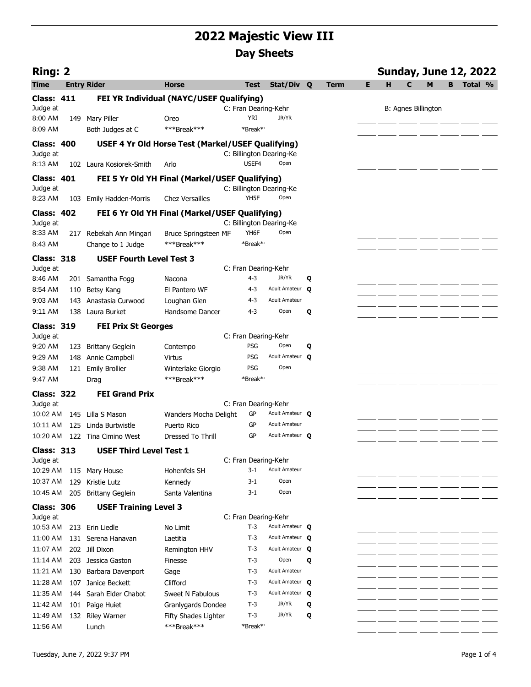| Ring: 2                       |     |                                 |                                                   |                          |                         |   |             |   |   |   |                            |    | <b>Sunday, June 12, 2022</b> |  |
|-------------------------------|-----|---------------------------------|---------------------------------------------------|--------------------------|-------------------------|---|-------------|---|---|---|----------------------------|----|------------------------------|--|
| <b>Time</b>                   |     | <b>Entry Rider</b>              | <b>Horse</b>                                      | Test                     | Stat/Div Q              |   | <b>Term</b> | Е | н | C | м                          | B. | Total %                      |  |
| <b>Class: 411</b>             |     |                                 | FEI YR Individual (NAYC/USEF Qualifying)          |                          |                         |   |             |   |   |   |                            |    |                              |  |
| Judge at                      |     |                                 |                                                   | C: Fran Dearing-Kehr     |                         |   |             |   |   |   | <b>B: Agnes Billington</b> |    |                              |  |
| 8:00 AM                       |     | 149 Mary Piller                 | Oreo                                              | <b>YRI</b>               | JR/YR                   |   |             |   |   |   |                            |    |                              |  |
| 8:09 AM                       |     | Both Judges at C                | ***Break***                                       | *Break*                  |                         |   |             |   |   |   |                            |    |                              |  |
| <b>Class: 400</b>             |     |                                 | USEF 4 Yr Old Horse Test (Markel/USEF Qualifying) |                          |                         |   |             |   |   |   |                            |    |                              |  |
| Judge at                      |     |                                 |                                                   | C: Billington Dearing-Ke |                         |   |             |   |   |   |                            |    |                              |  |
| 8:13 AM                       |     | 102 Laura Kosiorek-Smith        | Arlo                                              | USEF4                    | Open                    |   |             |   |   |   |                            |    |                              |  |
| Class: 401                    |     |                                 | FEI 5 Yr Old YH Final (Markel/USEF Qualifying)    |                          |                         |   |             |   |   |   |                            |    |                              |  |
| Judge at                      |     |                                 |                                                   | C: Billington Dearing-Ke |                         |   |             |   |   |   |                            |    |                              |  |
| 8:23 AM                       |     | 103 Emily Hadden-Morris         | <b>Chez Versailles</b>                            | YH5F                     | Open                    |   |             |   |   |   |                            |    |                              |  |
| <b>Class: 402</b>             |     |                                 | FEI 6 Yr Old YH Final (Markel/USEF Qualifying)    |                          |                         |   |             |   |   |   |                            |    |                              |  |
| Judge at                      |     |                                 |                                                   | C: Billington Dearing-Ke |                         |   |             |   |   |   |                            |    |                              |  |
| 8:33 AM                       |     | 217 Rebekah Ann Mingari         | Bruce Springsteen MF                              | YH6F                     | Open                    |   |             |   |   |   |                            |    |                              |  |
| 8:43 AM                       |     | Change to 1 Judge               | ***Break***                                       | *Break*                  |                         |   |             |   |   |   |                            |    |                              |  |
| <b>Class: 318</b>             |     | <b>USEF Fourth Level Test 3</b> |                                                   |                          |                         |   |             |   |   |   |                            |    |                              |  |
| Judge at                      |     |                                 |                                                   | C: Fran Dearing-Kehr     |                         |   |             |   |   |   |                            |    |                              |  |
| 8:46 AM                       |     | 201 Samantha Fogg               | Nacona                                            | $4 - 3$                  | JR/YR                   | Q |             |   |   |   |                            |    |                              |  |
| 8:54 AM                       |     | 110 Betsy Kang                  | El Pantero WF                                     | $4 - 3$                  | Adult Amateur O         |   |             |   |   |   |                            |    |                              |  |
| 9:03 AM                       |     | 143 Anastasia Curwood           | Loughan Glen                                      | 4-3                      | <b>Adult Amateur</b>    |   |             |   |   |   |                            |    |                              |  |
| 9:11 AM                       |     | 138 Laura Burket                | Handsome Dancer                                   | 4-3                      | Open                    | Q |             |   |   |   |                            |    |                              |  |
| <b>Class: 319</b>             |     | <b>FEI Prix St Georges</b>      |                                                   |                          |                         |   |             |   |   |   |                            |    |                              |  |
| Judge at                      |     |                                 |                                                   | C: Fran Dearing-Kehr     |                         |   |             |   |   |   |                            |    |                              |  |
| 9:20 AM                       |     | 123 Brittany Geglein            | Contempo                                          | PSG<br>PSG               | Open<br>Adult Amateur Q | Q |             |   |   |   |                            |    |                              |  |
| 9:29 AM<br>9:38 AM            |     | 148 Annie Campbell              | <b>Virtus</b>                                     | PSG                      | Open                    |   |             |   |   |   |                            |    |                              |  |
| 9:47 AM                       |     | 121 Emily Brollier<br>Drag      | Winterlake Giorgio<br>***Break***                 | **Break**                |                         |   |             |   |   |   |                            |    |                              |  |
|                               |     |                                 |                                                   |                          |                         |   |             |   |   |   |                            |    |                              |  |
| <b>Class: 322</b><br>Judge at |     | <b>FEI Grand Prix</b>           |                                                   | C: Fran Dearing-Kehr     |                         |   |             |   |   |   |                            |    |                              |  |
| 10:02 AM                      |     | 145 Lilla S Mason               | Wanders Mocha Delight                             | GP                       | Adult Amateur O         |   |             |   |   |   |                            |    |                              |  |
| 10:11 AM                      |     | 125 Linda Burtwistle            | Puerto Rico                                       | GP                       | <b>Adult Amateur</b>    |   |             |   |   |   |                            |    |                              |  |
| 10:20 AM                      |     | 122 Tina Cimino West            | <b>Dressed To Thrill</b>                          | GP                       | Adult Amateur Q         |   |             |   |   |   |                            |    |                              |  |
| <b>Class: 313</b>             |     | <b>USEF Third Level Test 1</b>  |                                                   |                          |                         |   |             |   |   |   |                            |    |                              |  |
| Judge at                      |     |                                 |                                                   | C: Fran Dearing-Kehr     |                         |   |             |   |   |   |                            |    |                              |  |
| 10:29 AM                      |     | 115 Mary House                  | Hohenfels SH                                      | $3-1$                    | <b>Adult Amateur</b>    |   |             |   |   |   |                            |    |                              |  |
| 10:37 AM                      | 129 | Kristie Lutz                    | Kennedy                                           | 3-1                      | Open                    |   |             |   |   |   |                            |    |                              |  |
| 10:45 AM                      |     | 205 Brittany Geglein            | Santa Valentina                                   | 3-1                      | Open                    |   |             |   |   |   |                            |    |                              |  |
| <b>Class: 306</b>             |     | <b>USEF Training Level 3</b>    |                                                   |                          |                         |   |             |   |   |   |                            |    |                              |  |
| Judge at                      |     |                                 |                                                   | C: Fran Dearing-Kehr     |                         |   |             |   |   |   |                            |    |                              |  |
| 10:53 AM                      |     | 213 Erin Liedle                 | No Limit                                          | $T-3$                    | Adult Amateur <b>Q</b>  |   |             |   |   |   |                            |    |                              |  |
| 11:00 AM                      |     | 131 Serena Hanavan              | Laetitia                                          | $T-3$                    | Adult Amateur <b>Q</b>  |   |             |   |   |   |                            |    |                              |  |
| 11:07 AM                      |     | 202 Jill Dixon                  | Remington HHV                                     | $T-3$                    | Adult Amateur Q         |   |             |   |   |   |                            |    |                              |  |
| 11:14 AM                      |     | 203 Jessica Gaston              | Finesse                                           | $T-3$                    | Open                    | Q |             |   |   |   |                            |    |                              |  |
| 11:21 AM                      |     | 130 Barbara Davenport           | Gage                                              | $T-3$                    | <b>Adult Amateur</b>    |   |             |   |   |   |                            |    |                              |  |
| 11:28 AM                      |     | 107 Janice Beckett              | Clifford                                          | $T-3$                    | Adult Amateur <b>Q</b>  |   |             |   |   |   |                            |    |                              |  |
| 11:35 AM                      |     | 144 Sarah Elder Chabot          | Sweet N Fabulous                                  | T-3                      | Adult Amateur Q         |   |             |   |   |   |                            |    |                              |  |
| 11:42 AM                      | 101 | Paige Huiet                     | Granlygards Dondee                                | $T-3$                    | JR/YR                   | Q |             |   |   |   |                            |    |                              |  |
| 11:49 AM                      |     | 132 Riley Warner                | Fifty Shades Lighter                              | $T-3$                    | JR/YR                   | Q |             |   |   |   |                            |    |                              |  |
| 11:56 AM                      |     | Lunch                           | ***Break***                                       | *Break*                  |                         |   |             |   |   |   |                            |    |                              |  |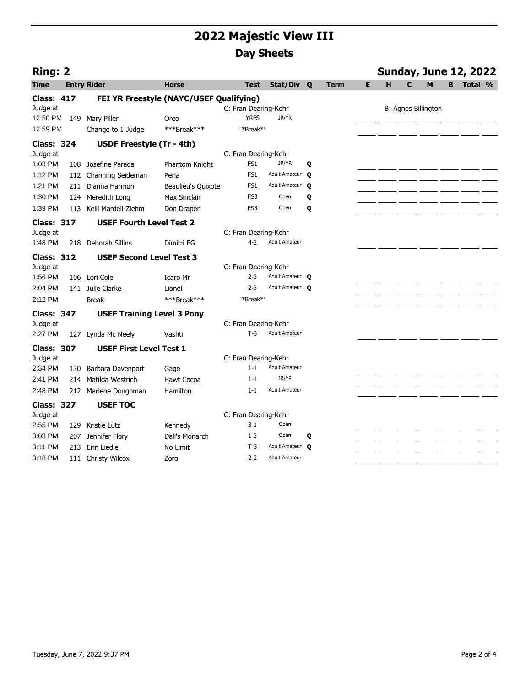| <b>Ring: 2</b>    |     |                                   |                                         |                      |                        |              |      |   |   |   | <b>Sunday, June 12, 2022</b> |   |         |  |
|-------------------|-----|-----------------------------------|-----------------------------------------|----------------------|------------------------|--------------|------|---|---|---|------------------------------|---|---------|--|
| Time              |     | <b>Entry Rider</b>                | Horse                                   | <b>Test</b>          | Stat/Div Q             |              | Term | Е | н | C | м                            | R | Total % |  |
| <b>Class: 417</b> |     |                                   | FEI YR Freestyle (NAYC/USEF Qualifying) |                      |                        |              |      |   |   |   |                              |   |         |  |
| Judge at          |     |                                   |                                         | C: Fran Dearing-Kehr |                        |              |      |   |   |   | <b>B: Agnes Billington</b>   |   |         |  |
| 12:50 PM          | 149 | Mary Piller                       | Oreo                                    | <b>YRFS</b>          | JR/YR                  |              |      |   |   |   |                              |   |         |  |
| 12:59 PM          |     | Change to 1 Judge                 | ***Break***                             | *Break*              |                        |              |      |   |   |   |                              |   |         |  |
| <b>Class: 324</b> |     | USDF Freestyle (Tr - 4th)         |                                         |                      |                        |              |      |   |   |   |                              |   |         |  |
| Judge at          |     |                                   |                                         | C: Fran Dearing-Kehr |                        |              |      |   |   |   |                              |   |         |  |
| 1:03 PM           | 108 | Josefine Parada                   | Phantom Knight                          | FS1                  | JR/YR                  | Q            |      |   |   |   |                              |   |         |  |
| 1:12 PM           |     | 112 Channing Seideman             | Perla                                   | FS1                  | Adult Amateur          | $\mathbf{o}$ |      |   |   |   |                              |   |         |  |
| 1:21 PM           |     | 211 Dianna Harmon                 | <b>Beaulieu's Quixote</b>               | FS <sub>1</sub>      | Adult Amateur          | Q            |      |   |   |   |                              |   |         |  |
| 1:30 PM           |     | 124 Meredith Long                 | <b>Max Sinclair</b>                     | FS3                  | Open                   | Q            |      |   |   |   |                              |   |         |  |
| 1:39 PM           | 113 | Kelli Mardell-Ziehm               | Don Draper                              | FS3                  | Open                   | Q            |      |   |   |   |                              |   |         |  |
| <b>Class: 317</b> |     | <b>USEF Fourth Level Test 2</b>   |                                         |                      |                        |              |      |   |   |   |                              |   |         |  |
| Judge at          |     |                                   |                                         | C: Fran Dearing-Kehr |                        |              |      |   |   |   |                              |   |         |  |
| 1:48 PM           | 218 | Deborah Sillins                   | Dimitri EG                              | $4-2$                | <b>Adult Amateur</b>   |              |      |   |   |   |                              |   |         |  |
| <b>Class: 312</b> |     | <b>USEF Second Level Test 3</b>   |                                         |                      |                        |              |      |   |   |   |                              |   |         |  |
| Judge at          |     |                                   |                                         | C: Fran Dearing-Kehr |                        |              |      |   |   |   |                              |   |         |  |
| 1:56 PM           |     | 106 Lori Cole                     | Icaro Mr                                | $2 - 3$              | Adult Amateur O        |              |      |   |   |   |                              |   |         |  |
| 2:04 PM           |     | 141 Julie Clarke                  | Lionel                                  | $2 - 3$              | Adult Amateur O        |              |      |   |   |   |                              |   |         |  |
| 2:12 PM           |     | <b>Break</b>                      | ***Break***                             | **Break**            |                        |              |      |   |   |   |                              |   |         |  |
| <b>Class: 347</b> |     | <b>USEF Training Level 3 Pony</b> |                                         |                      |                        |              |      |   |   |   |                              |   |         |  |
| Judge at          |     |                                   |                                         | C: Fran Dearing-Kehr |                        |              |      |   |   |   |                              |   |         |  |
| 2:27 PM           |     | 127 Lynda Mc Neely                | Vashti                                  | $T-3$                | <b>Adult Amateur</b>   |              |      |   |   |   |                              |   |         |  |
| <b>Class: 307</b> |     | <b>USEF First Level Test 1</b>    |                                         |                      |                        |              |      |   |   |   |                              |   |         |  |
| Judge at          |     |                                   |                                         | C: Fran Dearing-Kehr |                        |              |      |   |   |   |                              |   |         |  |
| 2:34 PM           | 130 | Barbara Davenport                 | Gage                                    | $1 - 1$              | <b>Adult Amateur</b>   |              |      |   |   |   |                              |   |         |  |
| 2:41 PM           | 214 | Matilda Westrich                  | <b>Hawt Cocoa</b>                       | $1 - 1$              | JR/YR                  |              |      |   |   |   |                              |   |         |  |
| 2:48 PM           |     | 212 Marlene Doughman              | Hamilton                                | $1 - 1$              | <b>Adult Amateur</b>   |              |      |   |   |   |                              |   |         |  |
| <b>Class: 327</b> |     | <b>USEF TOC</b>                   |                                         |                      |                        |              |      |   |   |   |                              |   |         |  |
| Judge at          |     |                                   |                                         | C: Fran Dearing-Kehr |                        |              |      |   |   |   |                              |   |         |  |
| 2:55 PM           | 129 | Kristie Lutz                      | Kennedy                                 | $3 - 1$              | Open                   |              |      |   |   |   |                              |   |         |  |
| 3:03 PM           | 207 | Jennifer Flory                    | Dali's Monarch                          | $1 - 3$              | Open                   | Q            |      |   |   |   |                              |   |         |  |
| 3:11 PM           | 213 | Erin Liedle                       | No Limit                                | $T-3$                | Adult Amateur <b>Q</b> |              |      |   |   |   |                              |   |         |  |
| 3:18 PM           |     | 111 Christy Wilcox                | Zoro                                    | $2 - 2$              | <b>Adult Amateur</b>   |              |      |   |   |   |                              |   |         |  |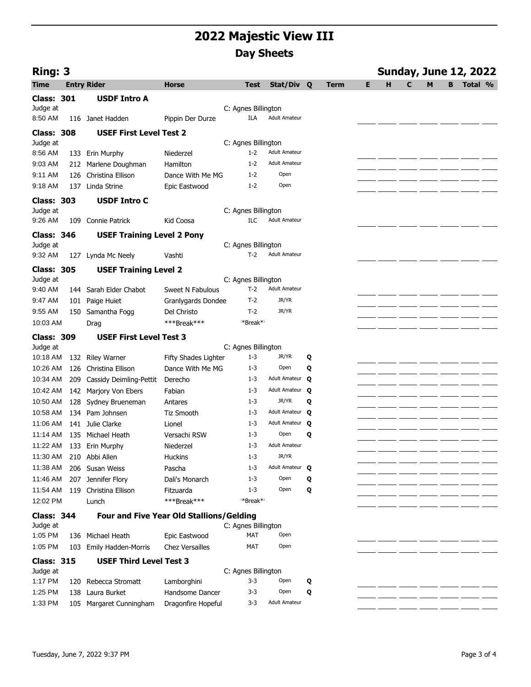| Ring: 3              |     |                                                  |                                                 |                                |                         |   |             |   |   |   |   |   | <b>Sunday, June 12, 2022</b> |  |
|----------------------|-----|--------------------------------------------------|-------------------------------------------------|--------------------------------|-------------------------|---|-------------|---|---|---|---|---|------------------------------|--|
| <b>Time</b>          |     | <b>Entry Rider</b>                               | Horse                                           | <b>Test</b>                    | Stat/Div Q              |   | <b>Term</b> | Е | н | C | M | B | Total %                      |  |
| <b>Class: 301</b>    |     | <b>USDF Intro A</b>                              |                                                 |                                |                         |   |             |   |   |   |   |   |                              |  |
| Judge at             |     |                                                  |                                                 | C: Agnes Billington            |                         |   |             |   |   |   |   |   |                              |  |
| 8:50 AM              |     | 116 Janet Hadden                                 | Pippin Der Durze                                | ILA                            | <b>Adult Amateur</b>    |   |             |   |   |   |   |   |                              |  |
| <b>Class: 308</b>    |     | <b>USEF First Level Test 2</b>                   |                                                 |                                |                         |   |             |   |   |   |   |   |                              |  |
| Judge at             |     |                                                  |                                                 | C: Agnes Billington            |                         |   |             |   |   |   |   |   |                              |  |
| 8:56 AM              |     | 133 Erin Murphy                                  | Niederzel                                       | $1 - 2$                        | <b>Adult Amateur</b>    |   |             |   |   |   |   |   |                              |  |
| 9:03 AM              |     | 212 Marlene Doughman                             | Hamilton                                        | $1 - 2$                        | <b>Adult Amateur</b>    |   |             |   |   |   |   |   |                              |  |
| 9:11 AM              | 126 | Christina Ellison                                | Dance With Me MG                                | $1 - 2$                        | Open                    |   |             |   |   |   |   |   |                              |  |
| 9:18 AM              | 137 | Linda Strine                                     | Epic Eastwood                                   | $1 - 2$                        | Open                    |   |             |   |   |   |   |   |                              |  |
| <b>Class: 303</b>    |     | <b>USDF Intro C</b>                              |                                                 |                                |                         |   |             |   |   |   |   |   |                              |  |
| Judge at             |     |                                                  |                                                 | C: Agnes Billington            |                         |   |             |   |   |   |   |   |                              |  |
| 9:26 AM              | 109 | Connie Patrick                                   | Kid Coosa                                       | ILC                            | <b>Adult Amateur</b>    |   |             |   |   |   |   |   |                              |  |
| <b>Class: 346</b>    |     | <b>USEF Training Level 2 Pony</b>                |                                                 |                                |                         |   |             |   |   |   |   |   |                              |  |
| Judge at             |     |                                                  |                                                 | C: Agnes Billington            |                         |   |             |   |   |   |   |   |                              |  |
| 9:32 AM              |     | 127 Lynda Mc Neely                               | Vashti                                          | $T-2$                          | <b>Adult Amateur</b>    |   |             |   |   |   |   |   |                              |  |
| <b>Class: 305</b>    |     | <b>USEF Training Level 2</b>                     |                                                 |                                |                         |   |             |   |   |   |   |   |                              |  |
| Judge at             |     |                                                  |                                                 | C: Agnes Billington            |                         |   |             |   |   |   |   |   |                              |  |
| 9:40 AM              |     | 144 Sarah Elder Chabot                           | Sweet N Fabulous                                | $T-2$                          | <b>Adult Amateur</b>    |   |             |   |   |   |   |   |                              |  |
| 9:47 AM              |     | 101 Paige Huiet                                  | Granlygards Dondee                              | $T-2$                          | JR/YR                   |   |             |   |   |   |   |   |                              |  |
| 9:55 AM              | 150 | Samantha Fogg                                    | Del Christo                                     | $T-2$                          | JR/YR                   |   |             |   |   |   |   |   |                              |  |
| 10:03 AM             |     | Drag                                             | ***Break***                                     | **Break**                      |                         |   |             |   |   |   |   |   |                              |  |
|                      |     |                                                  |                                                 |                                |                         |   |             |   |   |   |   |   |                              |  |
| <b>Class: 309</b>    |     | <b>USEF First Level Test 3</b>                   |                                                 |                                |                         |   |             |   |   |   |   |   |                              |  |
| Judge at<br>10:18 AM |     |                                                  | Fifty Shades Lighter                            | C: Agnes Billington<br>$1 - 3$ | JR/YR                   | Q |             |   |   |   |   |   |                              |  |
| 10:26 AM             | 126 | 132 Riley Warner<br>Christina Ellison            | Dance With Me MG                                | $1 - 3$                        | Open                    | Q |             |   |   |   |   |   |                              |  |
| 10:34 AM             | 209 |                                                  | Derecho                                         | $1 - 3$                        | Adult Amateur           | Q |             |   |   |   |   |   |                              |  |
| 10:42 AM             |     | Cassidy Deimling-Pettit<br>142 Marjory Von Ebers | Fabian                                          | $1 - 3$                        | Adult Amateur Q         |   |             |   |   |   |   |   |                              |  |
|                      |     |                                                  |                                                 | $1 - 3$                        | JR/YR                   | Q |             |   |   |   |   |   |                              |  |
| 10:50 AM<br>10:58 AM | 128 | Sydney Brueneman<br>Pam Johnsen                  | Antares<br><b>Tiz Smooth</b>                    | $1 - 3$                        | Adult Amateur Q         |   |             |   |   |   |   |   |                              |  |
|                      | 134 |                                                  |                                                 | $1 - 3$                        |                         |   |             |   |   |   |   |   |                              |  |
| 11:06 AM             |     | 141 Julie Clarke                                 | Lionel                                          |                                | Adult Amateur Q<br>Open |   |             |   |   |   |   |   |                              |  |
| 11:14 AM             |     | 135 Michael Heath                                | Versachi RSW                                    | $1 - 3$                        | <b>Adult Amateur</b>    | Q |             |   |   |   |   |   |                              |  |
|                      |     | 11:22 AM 133 Erin Murphy                         | Niederzel                                       | $1 - 3$                        | JR/YR                   |   |             |   |   |   |   |   |                              |  |
| 11:30 AM             | 210 | Abbi Allen                                       | Huckins                                         | $1 - 3$                        | Adult Amateur Q         |   |             |   |   |   |   |   |                              |  |
| 11:38 AM             |     | 206 Susan Weiss                                  | Pascha                                          | $1 - 3$                        |                         |   |             |   |   |   |   |   |                              |  |
| 11:46 AM             |     | 207 Jennifer Flory                               | Dali's Monarch                                  | $1 - 3$                        | Open                    | Q |             |   |   |   |   |   |                              |  |
| 11:54 AM             |     | 119 Christina Ellison                            | Fitzuarda                                       | $1 - 3$                        | Open                    | Q |             |   |   |   |   |   |                              |  |
| 12:02 PM             |     | Lunch                                            | ***Break***                                     | **Break**                      |                         |   |             |   |   |   |   |   |                              |  |
| <b>Class: 344</b>    |     |                                                  | <b>Four and Five Year Old Stallions/Gelding</b> |                                |                         |   |             |   |   |   |   |   |                              |  |
| Judge at             |     |                                                  |                                                 | C: Agnes Billington            |                         |   |             |   |   |   |   |   |                              |  |
| 1:05 PM              |     | 136 Michael Heath                                | Epic Eastwood                                   | MAT                            | Open                    |   |             |   |   |   |   |   |                              |  |
| 1:05 PM              | 103 | <b>Emily Hadden-Morris</b>                       | <b>Chez Versailles</b>                          | <b>MAT</b>                     | Open                    |   |             |   |   |   |   |   |                              |  |
| <b>Class: 315</b>    |     | <b>USEF Third Level Test 3</b>                   |                                                 |                                |                         |   |             |   |   |   |   |   |                              |  |
| Judge at             |     |                                                  |                                                 | C: Agnes Billington            |                         |   |             |   |   |   |   |   |                              |  |
| 1:17 PM              | 120 | Rebecca Stromatt                                 | Lamborghini                                     | $3 - 3$                        | Open                    | Q |             |   |   |   |   |   |                              |  |
| 1:25 PM              |     | 138 Laura Burket                                 | Handsome Dancer                                 | $3 - 3$                        | Open                    | Q |             |   |   |   |   |   |                              |  |
| 1:33 PM              |     | 105 Margaret Cunningham                          | Dragonfire Hopeful                              | 3-3                            | <b>Adult Amateur</b>    |   |             |   |   |   |   |   |                              |  |